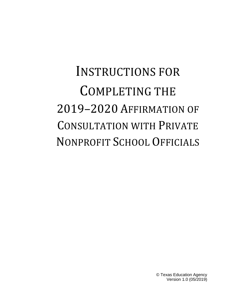INSTRUCTIONS FOR COMPLETING THE 2019–2020 AFFIRMATION OF CONSULTATION WITH PRIVATE NONPROFIT SCHOOL OFFICIALS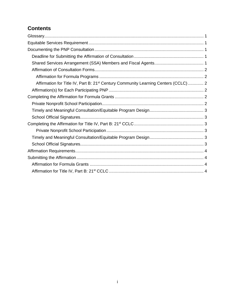# **Contents**

| Affirmation for Title IV, Part B: 21 <sup>st</sup> Century Community Learning Centers (CCLC)  2 |  |
|-------------------------------------------------------------------------------------------------|--|
|                                                                                                 |  |
|                                                                                                 |  |
|                                                                                                 |  |
|                                                                                                 |  |
|                                                                                                 |  |
|                                                                                                 |  |
|                                                                                                 |  |
|                                                                                                 |  |
|                                                                                                 |  |
|                                                                                                 |  |
|                                                                                                 |  |
|                                                                                                 |  |
|                                                                                                 |  |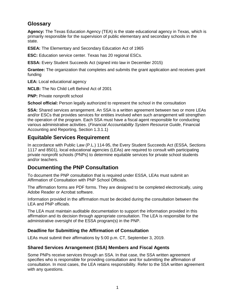# <span id="page-2-0"></span>**Glossary**

**Agency:** The Texas Education Agency (TEA) is the state educational agency in Texas, which is primarily responsible for the supervision of public elementary and secondary schools in the state.

**ESEA:** The Elementary and Secondary Education Act of 1965

**ESC:** Education service center. Texas has 20 regional ESCs.

**ESSA:** Every Student Succeeds Act (signed into law in December 2015)

**Grantee:** The organization that completes and submits the grant application and receives grant funding

**LEA:** Local educational agency

**NCLB:** The No Child Left Behind Act of 2001

**PNP:** Private nonprofit school

**School official:** Person legally authorized to represent the school in the consultation

**SSA:** Shared services arrangement. An SSA is a written agreement between two or more LEAs and/or ESCs that provides services for entities involved when such arrangement will strengthen the operation of the program. Each SSA must have a fiscal agent responsible for conducting various administrative activities. (*Financial Accountability System Resource Guide*, Financial Accounting and Reporting, Section 1.3.1.1)

# <span id="page-2-1"></span>**Equitable Services Requirement**

In accordance with Public Law (P.L.) 114-95, the Every Student Succeeds Act (ESSA, Sections 1117 and 8501), local educational agencies (LEAs) are required to consult with participating private nonprofit schools (PNPs) to determine equitable services for private school students and/or teachers.

# <span id="page-2-2"></span>**Documenting the PNP Consultation**

To document the PNP consultation that is required under ESSA, LEAs must submit an Affirmation of Consultation with PNP School Officials.

The affirmation forms are PDF forms. They are designed to be completed electronically, using Adobe Reader or Acrobat software.

Information provided in the affirmation must be decided during the consultation between the LEA and PNP officials.

The LEA must maintain auditable documentation to support the information provided in this affirmation and its decision through appropriate consultation. The LEA is responsible for the administrative oversight of the ESSA program(s) in the PNP.

### <span id="page-2-3"></span>**Deadline for Submitting the Affirmation of Consultation**

LEAs must submit their affirmations by 5:00 p.m. CT, September 3, 2019.

#### <span id="page-2-4"></span>**Shared Services Arrangement (SSA) Members and Fiscal Agents**

Some PNPs receive services through an SSA. In that case, the SSA written agreement specifies who is responsible for providing consultation and for submitting the affirmation of consultation. In most cases, the LEA retains responsibility. Refer to the SSA written agreement with any questions.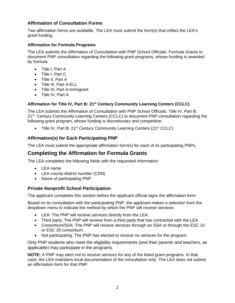### <span id="page-3-0"></span>**Affirmation of Consultation Forms**

Two affirmation forms are available. The LEA must submit the form(s) that reflect the LEA's grant funding.

#### <span id="page-3-1"></span>**Affirmation for Formula Programs**

The LEA submits the Affirmation of Consultation with PNP School Officials: Formula Grants to document PNP consultation regarding the following grant programs, whose funding is awarded by formula:

- Title I, Part A
- Title I, Part C
- Title II, Part A
- Title III, Part A-ELL
- Title III, Part A-Immigrant
- Title IV, Part A

### <span id="page-3-2"></span>**Affirmation for Title IV, Part B: 21st Century Community Learning Centers (CCLC)**

The LEA submits the Affirmation of Consultation with PNP School Officials: Title IV, Part B: 21<sup>st</sup> Century Community Learning Centers (CCLC) to document PNP consultation regarding the following grant program, whose funding is discretionary and competitive:

• Title IV, Part B: 21<sup>st</sup> Century Community Learning Centers (21<sup>st</sup> CCLC)

### <span id="page-3-3"></span>**Affirmation(s) for Each Participating PNP**

The LEA must submit the appropriate affirmation form(s) for each of its participating PNPs.

# <span id="page-3-4"></span>**Completing the Affirmation for Formula Grants**

The LEA completes the following fields with the requested information:

- LEA name
- LEA county-district number (CDN)
- Name of participating PNP

#### <span id="page-3-5"></span>**Private Nonprofit School Participation**

The applicant completes this section before the applicant official signs the affirmation form.

Based on its consultation with the participating PNP, the applicant makes a selection from the dropdown menu to indicate the method by which the PNP will receive services:

- LEA: The PNP will receive services directly from the LEA.
- Third party: The PNP will receive from a third party that has contracted with the LEA.
- Consortium/SSA: The PNP will receive services through an SSA or through the ESC 10 or ESC 20 consortium.
- Not participating: The PNP has elected to receive no services for the program.

Only PNP students who meet the eligibility requirements (and their parents and teachers, as applicable) may participate in the programs.

**NOTE:** A PNP may elect not to receive services for any of the listed grant programs. In that case, the LEA maintains local documentation of the consultation only. The LEA does not submit an affirmation form for that PNP.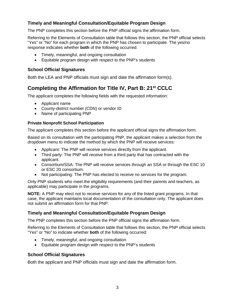### <span id="page-4-0"></span>**Timely and Meaningful Consultation/Equitable Program Design**

The PNP completes this section before the PNP official signs the affirmation form.

Referring to the Elements of Consultation table that follows this section, the PNP official selects "Yes" or "No" for each program in which the PNP has chosen to participate. The yes/no response indicates whether **both** of the following occurred:

- Timely, meaningful, and ongoing consultation
- Equitable program design with respect to the PNP's students

### <span id="page-4-1"></span>**School Official Signatures**

Both the LEA and PNP officials must sign and date the affirmation form(s).

# <span id="page-4-2"></span>**Completing the Affirmation for Title IV, Part B: 21st CCLC**

The applicant completes the following fields with the requested information:

- Applicant name
- County-district number (CDN) or vendor ID
- Name of participating PNP

#### <span id="page-4-3"></span>**Private Nonprofit School Participation**

The applicant completes this section before the applicant official signs the affirmation form.

Based on its consultation with the participating PNP, the applicant makes a selection from the dropdown menu to indicate the method by which the PNP will receive services:

- Applicant: The PNP will receive services directly from the applicant.
- Third party: The PNP will receive from a third party that has contracted with the applicant.
- Consortium/SSA: The PNP will receive services through an SSA or through the ESC 10 or ESC 20 consortium.
- Not participating: The PNP has elected to receive no services for the program.

Only PNP students who meet the eligibility requirements (and their parents and teachers, as applicable) may participate in the programs.

**NOTE:** A PNP may elect not to receive services for any of the listed grant programs. In that case, the applicant maintains local documentation of the consultation only. The applicant does not submit an affirmation form for that PNP.

### <span id="page-4-4"></span>**Timely and Meaningful Consultation/Equitable Program Design**

The PNP completes this section before the PNP official signs the affirmation form.

Referring to the Elements of Consultation table that follows this section, the PNP official selects "Yes" or "No" to indicate whether **both** of the following occurred:

- Timely, meaningful, and ongoing consultation
- Equitable program design with respect to the PNP's students

#### <span id="page-4-5"></span>**School Official Signatures**

Both the applicant and PNP officials must sign and date the affirmation form.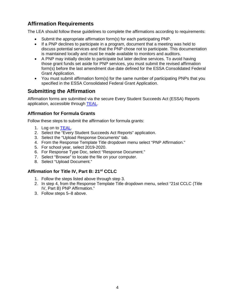# <span id="page-5-0"></span>**Affirmation Requirements**

The LEA should follow these guidelines to complete the affirmations according to requirements:

- Submit the appropriate affirmation form(s) for each participating PNP.
- If a PNP declines to participate in a program, document that a meeting was held to discuss potential services and that the PNP chose not to participate. This documentation is maintained locally and must be made available to monitors and auditors.
- A PNP may initially decide to participate but later decline services. To avoid having those grant funds set aside for PNP services, you must submit the revised affirmation form(s) before the last amendment due date defined for the ESSA Consolidated Federal Grant Application.
- You must submit affirmation form(s) for the same number of participating PNPs that you specified in the ESSA Consolidated Federal Grant Application.

# <span id="page-5-1"></span>**Submitting the Affirmation**

Affirmation forms are submitted via the secure Every Student Succeeds Act (ESSA) Reports application, accessible through [TEAL.](https://tealprod.tea.state.tx.us/)

### <span id="page-5-2"></span>**Affirmation for Formula Grants**

Follow these steps to submit the affirmation for formula grants:

- 1. Log on to [TEAL.](https://tealprod.tea.state.tx.us/)
- 2. Select the "Every Student Succeeds Act Reports" application.
- 3. Select the "Upload Response Documents" tab.
- 4. From the Response Template Title dropdown menu select "PNP Affirmation."
- 5. For school year, select 2019-2020.
- 6. For Response Type Doc, select "Response Document."
- 7. Select "Browse" to locate the file on your computer.
- 8. Select "Upload Document."

### <span id="page-5-3"></span>**Affirmation for Title IV, Part B: 21st CCLC**

- 1. Follow the steps listed above through step 3.
- 2. In step 4, from the Response Template Title dropdown menu, select "21st CCLC (Title IV, Part B) PNP Affirmation."
- 3. Follow steps 5–8 above.